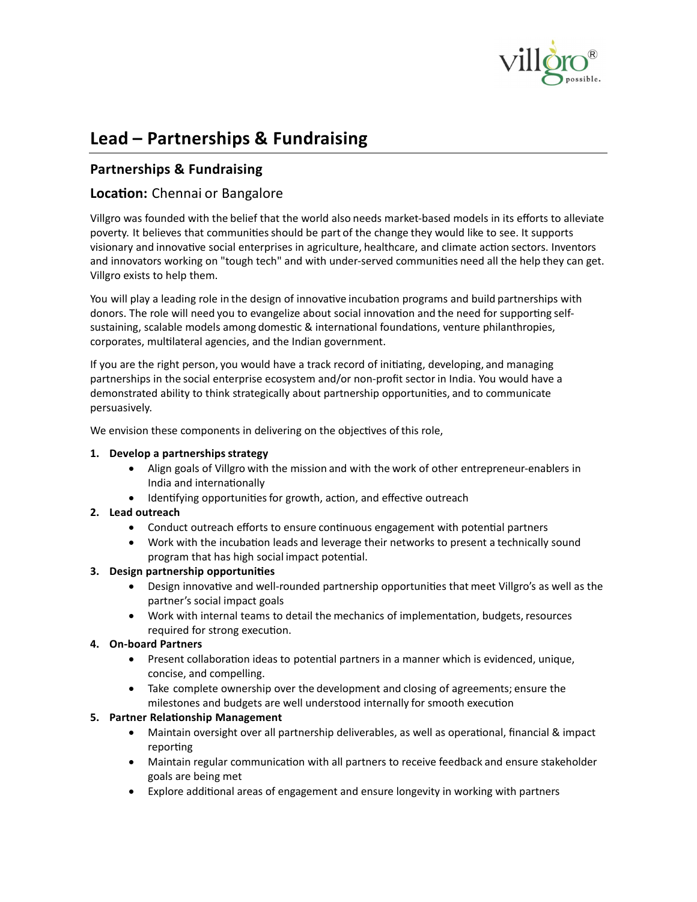

# **Lead – Partnerships & Fundraising**

# **Partnerships & Fundraising**

## **Location:** Chennai or Bangalore

Villgro was founded with the belief that the world also needs market-based models in its efforts to alleviate poverty. It believes that communities should be part of the change they would like to see. It supports visionary and innovative social enterprises in agriculture, healthcare, and climate action sectors. Inventors and innovators working on "tough tech" and with under-served communities need all the help they can get. Villgro exists to help them.

You will play a leading role in the design of innovative incubation programs and build partnerships with donors. The role will need you to evangelize about social innovation and the need for supporting selfsustaining, scalable models among domestic & international foundations, venture philanthropies, corporates, multilateral agencies, and the Indian government.

If you are the right person, you would have a track record of initiating, developing, and managing partnerships in the social enterprise ecosystem and/or non-profit sector in India. You would have a demonstrated ability to think strategically about partnership opportunities, and to communicate persuasively.

We envision these components in delivering on the objectives of this role,

#### **1.** Develop a partnerships strategy

- � Align goals of Villgro with the mission and with the work of other entrepreneur-enablers in India and internationally
- $\bullet$  Identifying opportunities for growth, action, and effective outreach
- **2. Lead outreach**
	- Conduct outreach efforts to ensure continuous engagement with potential partners
	- Work with the incubation leads and leverage their networks to present a technically sound program that has high social impact potential.

## **3. Design partnership opportuni�es**

- Design innovative and well-rounded partnership opportunities that meet Villgro's as well as the partner's social impact goals
- Work with internal teams to detail the mechanics of implementation, budgets, resources required for strong execution.

## **4. On-board Partners**

- Present collaboration ideas to potential partners in a manner which is evidenced, unique, concise, and compelling.
- � Take complete ownership over the development and closing of agreements; ensure the milestones and budgets are well understood internally for smooth execu�on

## **5. Partner Relationship Management**

- Maintain oversight over all partnership deliverables, as well as operational, financial & impact reporting
- $\bullet$  Maintain regular communication with all partners to receive feedback and ensure stakeholder goals are being met
- Explore additional areas of engagement and ensure longevity in working with partners